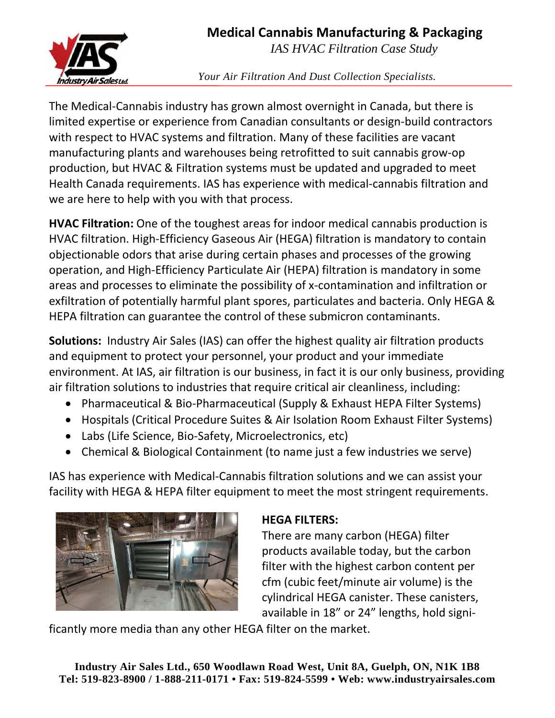**Medical Cannabis Manufacturing & Packaging** 



*IAS HVAC Filtration Case Study* 

*Your Air Filtration And Dust Collection Specialists.* 

The Medical-Cannabis industry has grown almost overnight in Canada, but there is limited expertise or experience from Canadian consultants or design-build contractors with respect to HVAC systems and filtration. Many of these facilities are vacant manufacturing plants and warehouses being retrofitted to suit cannabis grow-op production, but HVAC & Filtration systems must be updated and upgraded to meet Health Canada requirements. IAS has experience with medical-cannabis filtration and we are here to help with you with that process.

**HVAC Filtration:** One of the toughest areas for indoor medical cannabis production is HVAC filtration. High-Efficiency Gaseous Air (HEGA) filtration is mandatory to contain objectionable odors that arise during certain phases and processes of the growing operation, and High-Efficiency Particulate Air (HEPA) filtration is mandatory in some areas and processes to eliminate the possibility of x-contamination and infiltration or exfiltration of potentially harmful plant spores, particulates and bacteria. Only HEGA & HEPA filtration can guarantee the control of these submicron contaminants.

**Solutions:** Industry Air Sales (IAS) can offer the highest quality air filtration products and equipment to protect your personnel, your product and your immediate environment. At IAS, air filtration is our business, in fact it is our only business, providing air filtration solutions to industries that require critical air cleanliness, including:

- Pharmaceutical & Bio-Pharmaceutical (Supply & Exhaust HEPA Filter Systems)
- Hospitals (Critical Procedure Suites & Air Isolation Room Exhaust Filter Systems)
- Labs (Life Science, Bio-Safety, Microelectronics, etc)
- Chemical & Biological Containment (to name just a few industries we serve)

IAS has experience with Medical-Cannabis filtration solutions and we can assist your facility with HEGA & HEPA filter equipment to meet the most stringent requirements.



## **HEGA FILTERS:**

There are many carbon (HEGA) filter products available today, but the carbon filter with the highest carbon content per cfm (cubic feet/minute air volume) is the cylindrical HEGA canister. These canisters, available in 18" or 24" lengths, hold signi-

ficantly more media than any other HEGA filter on the market.